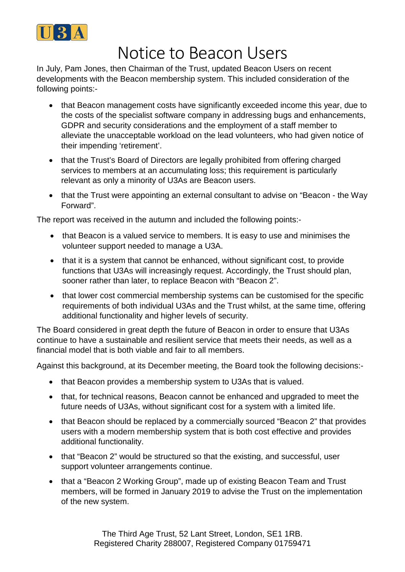

## Notice to Beacon Users

In July, Pam Jones, then Chairman of the Trust, updated Beacon Users on recent developments with the Beacon membership system. This included consideration of the following points:-

- that Beacon management costs have significantly exceeded income this year, due to the costs of the specialist software company in addressing bugs and enhancements, GDPR and security considerations and the employment of a staff member to alleviate the unacceptable workload on the lead volunteers, who had given notice of their impending 'retirement'.
- that the Trust's Board of Directors are legally prohibited from offering charged services to members at an accumulating loss; this requirement is particularly relevant as only a minority of U3As are Beacon users.
- that the Trust were appointing an external consultant to advise on "Beacon the Way Forward".

The report was received in the autumn and included the following points:-

- that Beacon is a valued service to members. It is easy to use and minimises the volunteer support needed to manage a U3A.
- that it is a system that cannot be enhanced, without significant cost, to provide functions that U3As will increasingly request. Accordingly, the Trust should plan, sooner rather than later, to replace Beacon with "Beacon 2".
- that lower cost commercial membership systems can be customised for the specific requirements of both individual U3As and the Trust whilst, at the same time, offering additional functionality and higher levels of security.

The Board considered in great depth the future of Beacon in order to ensure that U3As continue to have a sustainable and resilient service that meets their needs, as well as a financial model that is both viable and fair to all members.

Against this background, at its December meeting, the Board took the following decisions:-

- that Beacon provides a membership system to U3As that is valued.
- that, for technical reasons, Beacon cannot be enhanced and upgraded to meet the future needs of U3As, without significant cost for a system with a limited life.
- that Beacon should be replaced by a commercially sourced "Beacon 2" that provides users with a modern membership system that is both cost effective and provides additional functionality.
- that "Beacon 2" would be structured so that the existing, and successful, user support volunteer arrangements continue.
- that a "Beacon 2 Working Group", made up of existing Beacon Team and Trust members, will be formed in January 2019 to advise the Trust on the implementation of the new system.